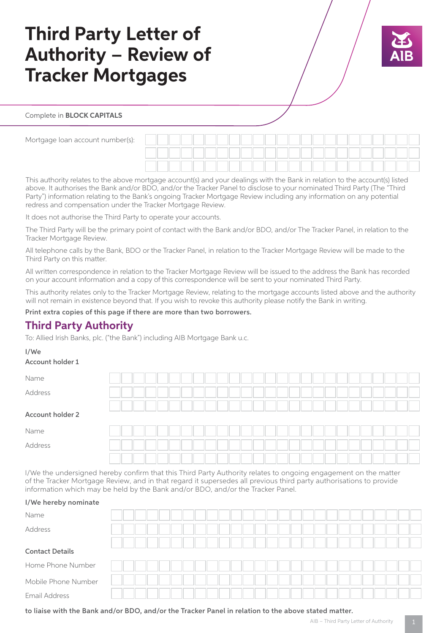# **Third Party Letter of Authority – Review of Tracker Mortgages**



### Complete in **BLOCK CAPITALS**

Mortgage loan account number(s):

This authority relates to the above mortgage account(s) and your dealings with the Bank in relation to the account(s) listed above. It authorises the Bank and/or BDO, and/or the Tracker Panel to disclose to your nominated Third Party (The "Third Party") information relating to the Bank's ongoing Tracker Mortgage Review including any information on any potential redress and compensation under the Tracker Mortgage Review.

It does not authorise the Third Party to operate your accounts.

The Third Party will be the primary point of contact with the Bank and/or BDO, and/or The Tracker Panel, in relation to the Tracker Mortgage Review.

All telephone calls by the Bank, BDO or the Tracker Panel, in relation to the Tracker Mortgage Review will be made to the Third Party on this matter.

All written correspondence in relation to the Tracker Mortgage Review will be issued to the address the Bank has recorded on your account information and a copy of this correspondence will be sent to your nominated Third Party.

This authority relates only to the Tracker Mortgage Review, relating to the mortgage accounts listed above and the authority will not remain in existence beyond that. If you wish to revoke this authority please notify the Bank in writing.

#### Print extra copies of this page if there are more than two borrowers.

# **Third Party Authority**

To: Allied Irish Banks, plc. ("the Bank") including AIB Mortgage Bank u.c.

#### I/We

#### Account holder 1

| Name             |  |  |  |  |  |  |  |  |  |  |  |  |  |
|------------------|--|--|--|--|--|--|--|--|--|--|--|--|--|
| Address          |  |  |  |  |  |  |  |  |  |  |  |  |  |
|                  |  |  |  |  |  |  |  |  |  |  |  |  |  |
| Account holder 2 |  |  |  |  |  |  |  |  |  |  |  |  |  |
| Name             |  |  |  |  |  |  |  |  |  |  |  |  |  |
| Address          |  |  |  |  |  |  |  |  |  |  |  |  |  |
|                  |  |  |  |  |  |  |  |  |  |  |  |  |  |

I/We the undersigned hereby confirm that this Third Party Authority relates to ongoing engagement on the matter of the Tracker Mortgage Review, and in that regard it supersedes all previous third party authorisations to provide information which may be held by the Bank and/or BDO, and/or the Tracker Panel.

#### I/We hereby nominate

| Name                   |  |  |  |  |  |  |  |  |  |  |  |  |  |
|------------------------|--|--|--|--|--|--|--|--|--|--|--|--|--|
| Address                |  |  |  |  |  |  |  |  |  |  |  |  |  |
|                        |  |  |  |  |  |  |  |  |  |  |  |  |  |
| <b>Contact Details</b> |  |  |  |  |  |  |  |  |  |  |  |  |  |
| Home Phone Number      |  |  |  |  |  |  |  |  |  |  |  |  |  |
| Mobile Phone Number    |  |  |  |  |  |  |  |  |  |  |  |  |  |
| Email Address          |  |  |  |  |  |  |  |  |  |  |  |  |  |
|                        |  |  |  |  |  |  |  |  |  |  |  |  |  |

to liaise with the Bank and/or BDO, and/or the Tracker Panel in relation to the above stated matter.